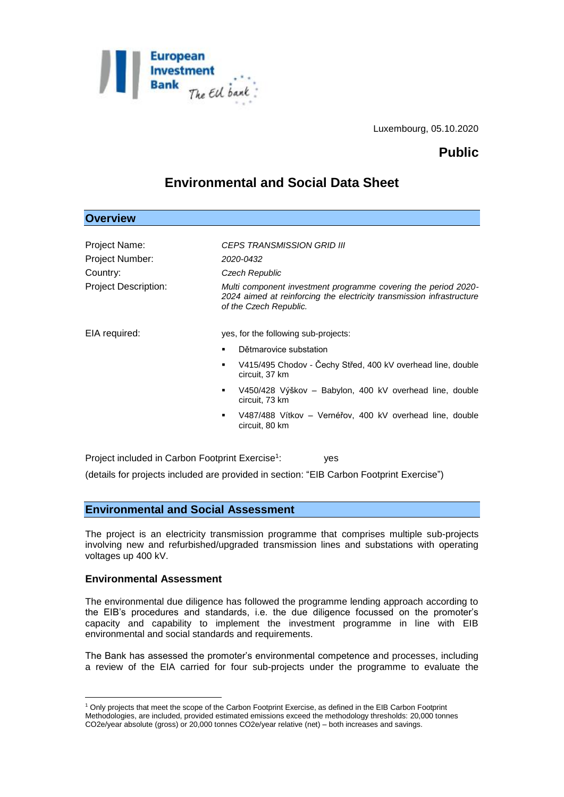

Luxembourg, 05.10.2020

## **Public**

# **Environmental and Social Data Sheet**

| <b>Overview</b>      |                                                                                                                                                                   |
|----------------------|-------------------------------------------------------------------------------------------------------------------------------------------------------------------|
|                      |                                                                                                                                                                   |
| Project Name:        | <i>CEPS TRANSMISSION GRID III</i>                                                                                                                                 |
| Project Number:      | 2020-0432                                                                                                                                                         |
| Country:             | Czech Republic                                                                                                                                                    |
| Project Description: | Multi component investment programme covering the period 2020-<br>2024 aimed at reinforcing the electricity transmission infrastructure<br>of the Czech Republic. |
| EIA required:        | yes, for the following sub-projects:                                                                                                                              |
|                      | Dětmarovice substation                                                                                                                                            |
|                      | V415/495 Chodov - Cechy Střed, 400 kV overhead line, double<br>٠<br>circuit, 37 km                                                                                |
|                      | V450/428 Výškov – Babylon, 400 kV overhead line, double<br>٠<br>circuit, 73 km                                                                                    |
|                      | V487/488 Vítkov – Vernéřov, 400 kV overhead line, double<br>٠<br>circuit, 80 km                                                                                   |
|                      |                                                                                                                                                                   |

Project included in Carbon Footprint Exercise<sup>1</sup>: : yes (details for projects included are provided in section: "EIB Carbon Footprint Exercise")

## **Environmental and Social Assessment**

The project is an electricity transmission programme that comprises multiple sub-projects involving new and refurbished/upgraded transmission lines and substations with operating voltages up 400 kV.

#### **Environmental Assessment**

<u>.</u>

The environmental due diligence has followed the programme lending approach according to the EIB's procedures and standards, i.e. the due diligence focussed on the promoter's capacity and capability to implement the investment programme in line with EIB environmental and social standards and requirements.

The Bank has assessed the promoter's environmental competence and processes, including a review of the EIA carried for four sub-projects under the programme to evaluate the

<sup>1</sup> Only projects that meet the scope of the Carbon Footprint Exercise, as defined in the EIB Carbon Footprint Methodologies, are included, provided estimated emissions exceed the methodology thresholds: 20,000 tonnes CO2e/year absolute (gross) or 20,000 tonnes CO2e/year relative (net) – both increases and savings.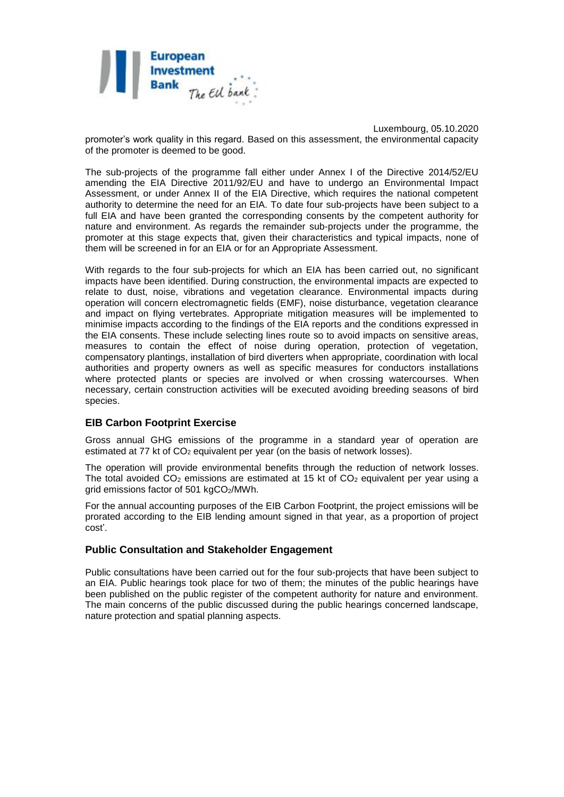

Luxembourg, 05.10.2020 promoter's work quality in this regard. Based on this assessment, the environmental capacity of the promoter is deemed to be good.

The sub-projects of the programme fall either under Annex I of the Directive 2014/52/EU amending the EIA Directive 2011/92/EU and have to undergo an Environmental Impact Assessment, or under Annex II of the EIA Directive, which requires the national competent authority to determine the need for an EIA. To date four sub-projects have been subject to a full EIA and have been granted the corresponding consents by the competent authority for nature and environment. As regards the remainder sub-projects under the programme, the promoter at this stage expects that, given their characteristics and typical impacts, none of them will be screened in for an EIA or for an Appropriate Assessment.

With regards to the four sub-projects for which an EIA has been carried out, no significant impacts have been identified. During construction, the environmental impacts are expected to relate to dust, noise, vibrations and vegetation clearance. Environmental impacts during operation will concern electromagnetic fields (EMF), noise disturbance, vegetation clearance and impact on flying vertebrates. Appropriate mitigation measures will be implemented to minimise impacts according to the findings of the EIA reports and the conditions expressed in the EIA consents. These include selecting lines route so to avoid impacts on sensitive areas, measures to contain the effect of noise during operation, protection of vegetation, compensatory plantings, installation of bird diverters when appropriate, coordination with local authorities and property owners as well as specific measures for conductors installations where protected plants or species are involved or when crossing watercourses. When necessary, certain construction activities will be executed avoiding breeding seasons of bird species.

## **EIB Carbon Footprint Exercise**

Gross annual GHG emissions of the programme in a standard year of operation are estimated at 77 kt of  $CO<sub>2</sub>$  equivalent per year (on the basis of network losses).

The operation will provide environmental benefits through the reduction of network losses. The total avoided  $CO<sub>2</sub>$  emissions are estimated at 15 kt of  $CO<sub>2</sub>$  equivalent per year using a grid emissions factor of 501 kgCO<sub>2</sub>/MWh.

For the annual accounting purposes of the EIB Carbon Footprint, the project emissions will be prorated according to the EIB lending amount signed in that year, as a proportion of project cost'.

#### **Public Consultation and Stakeholder Engagement**

Public consultations have been carried out for the four sub-projects that have been subject to an EIA. Public hearings took place for two of them; the minutes of the public hearings have been published on the public register of the competent authority for nature and environment. The main concerns of the public discussed during the public hearings concerned landscape, nature protection and spatial planning aspects.